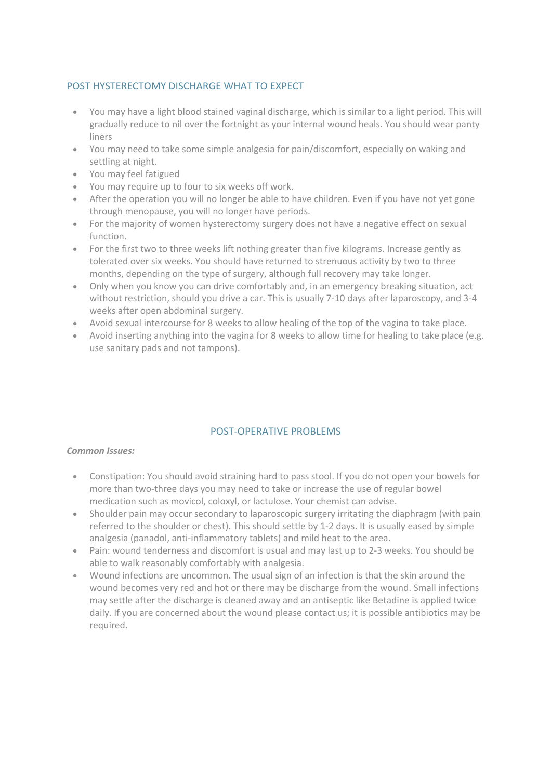## POST HYSTERECTOMY DISCHARGE WHAT TO EXPECT

- You may have a light blood stained vaginal discharge, which is similar to a light period. This will gradually reduce to nil over the fortnight as your internal wound heals. You should wear panty liners
- You may need to take some simple analgesia for pain/discomfort, especially on waking and settling at night.
- You may feel fatigued
- You may require up to four to six weeks off work.
- After the operation you will no longer be able to have children. Even if you have not yet gone through menopause, you will no longer have periods.
- For the majority of women hysterectomy surgery does not have a negative effect on sexual function.
- For the first two to three weeks lift nothing greater than five kilograms. Increase gently as tolerated over six weeks. You should have returned to strenuous activity by two to three months, depending on the type of surgery, although full recovery may take longer.
- Only when you know you can drive comfortably and, in an emergency breaking situation, act without restriction, should you drive a car. This is usually 7-10 days after laparoscopy, and 3-4 weeks after open abdominal surgery.
- Avoid sexual intercourse for 8 weeks to allow healing of the top of the vagina to take place.
- Avoid inserting anything into the vagina for 8 weeks to allow time for healing to take place (e.g. use sanitary pads and not tampons).

## POST-OPERATIVE PROBLEMS

## *Common Issues:*

- Constipation: You should avoid straining hard to pass stool. If you do not open your bowels for more than two-three days you may need to take or increase the use of regular bowel medication such as movicol, coloxyl, or lactulose. Your chemist can advise.
- Shoulder pain may occur secondary to laparoscopic surgery irritating the diaphragm (with pain referred to the shoulder or chest). This should settle by 1-2 days. It is usually eased by simple analgesia (panadol, anti-inflammatory tablets) and mild heat to the area.
- Pain: wound tenderness and discomfort is usual and may last up to 2-3 weeks. You should be able to walk reasonably comfortably with analgesia.
- Wound infections are uncommon. The usual sign of an infection is that the skin around the wound becomes very red and hot or there may be discharge from the wound. Small infections may settle after the discharge is cleaned away and an antiseptic like Betadine is applied twice daily. If you are concerned about the wound please contact us; it is possible antibiotics may be required.